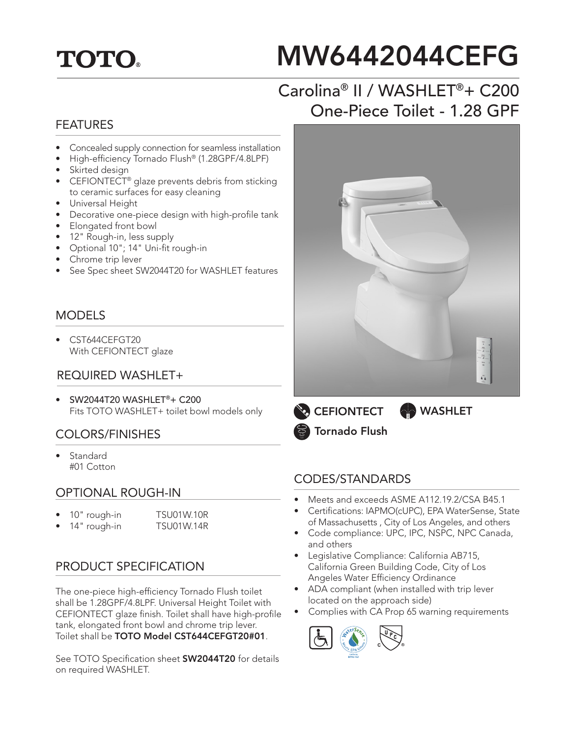## **TOTO.**

# MW6442044CEFG

## Carolina® II / WASHLET®+ C200 One-Piece Toilet - 1.28 GPF

#### FEATURES

- Concealed supply connection for seamless installation
- High-efficiency Tornado Flush® (1.28GPF/4.8LPF)
- Skirted design
- CEFIONTECT<sup>®</sup> glaze prevents debris from sticking to ceramic surfaces for easy cleaning
- Universal Height
- Decorative one-piece design with high-profile tank
- Elongated front bowl
- 12" Rough-in, less supply
- Optional 10"; 14" Uni-fit rough-in
- Chrome trip lever
- See Spec sheet SW2044T20 for WASHLET features

#### MODELS

• CST644CEFGT20 With CEFIONTECT glaze

#### REQUIRED WASHLET+

• SW2044T20 WASHLET®+ C200 Fits TOTO WASHLET+ toilet bowl models only

#### COLORS/FINISHES

• Standard #01 Cotton

#### OPTIONAL ROUGH-IN

- 10" rough-in TSU01W.10R
	- 14" rough-in TSU01W.14R

#### PRODUCT SPECIFICATION

The one-piece high-efficiency Tornado Flush toilet shall be 1.28GPF/4.8LPF. Universal Height Toilet with CEFIONTECT glaze finish. Toilet shall have high-profile tank, elongated front bowl and chrome trip lever. Toilet shall be TOTO Model CST644CEFGT20#01.

See TOTO Specification sheet **SW2044T20** for details on required WASHLET.



**CEFIONTECT** Tornado Flush **WASHLET** 

#### CODES/STANDARDS

- Meets and exceeds ASME A112.19.2/CSA B45.1
- Certifications: IAPMO(cUPC), EPA WaterSense, State of Massachusetts , City of Los Angeles, and others
- Code compliance: UPC, IPC, NSPC, NPC Canada, and others
- Legislative Compliance: California AB715, California Green Building Code, City of Los Angeles Water Efficiency Ordinance
- ADA compliant (when installed with trip lever located on the approach side)
- Complies with CA Prop 65 warning requirements